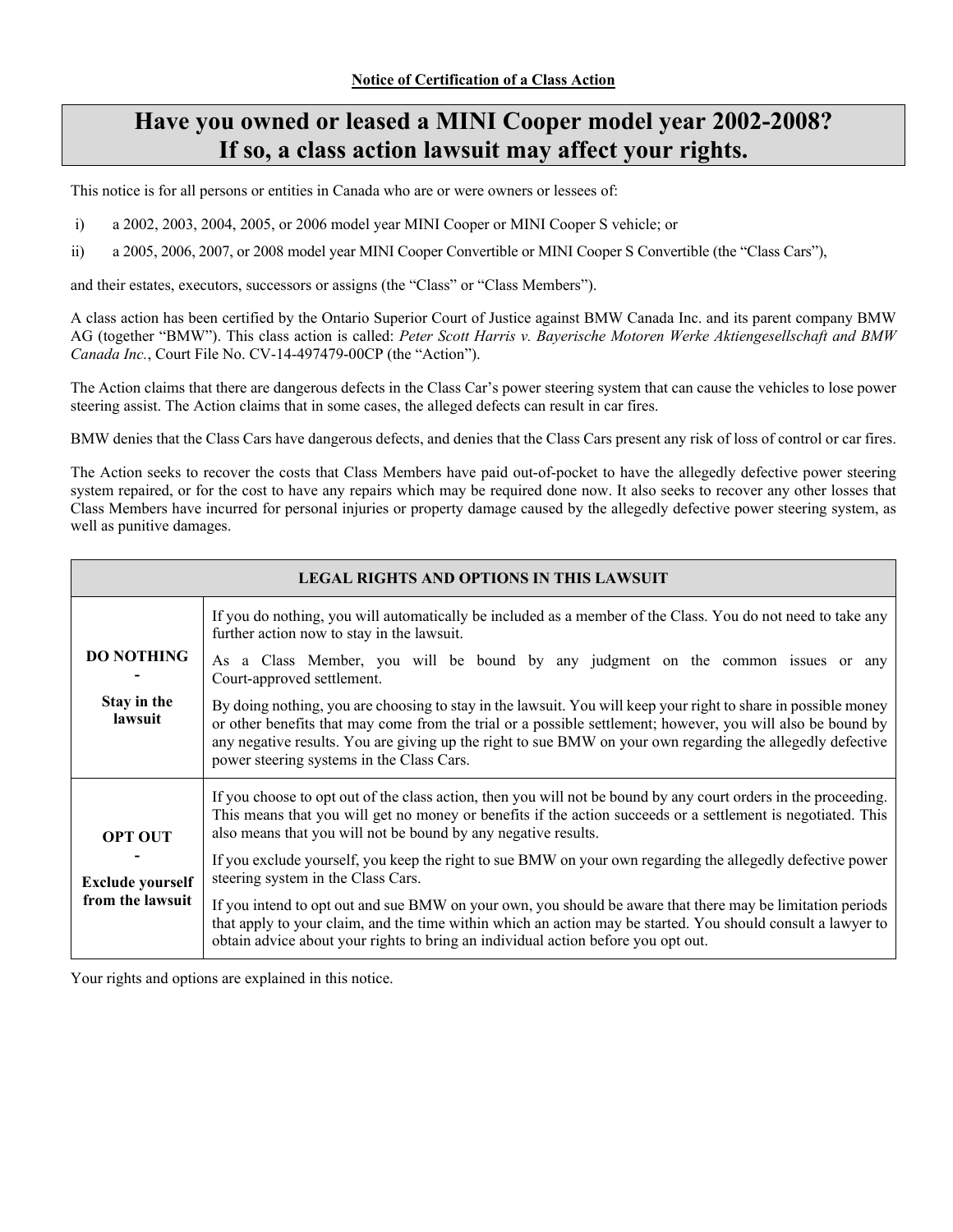# **Have you owned or leased a MINI Cooper model year 2002-2008? If so, a class action lawsuit may affect your rights.**

This notice is for all persons or entities in Canada who are or were owners or lessees of:

- i) a 2002, 2003, 2004, 2005, or 2006 model year MINI Cooper or MINI Cooper S vehicle; or
- ii) a 2005, 2006, 2007, or 2008 model year MINI Cooper Convertible or MINI Cooper S Convertible (the "Class Cars"),

and their estates, executors, successors or assigns (the "Class" or "Class Members").

A class action has been certified by the Ontario Superior Court of Justice against BMW Canada Inc. and its parent company BMW AG (together "BMW"). This class action is called: *Peter Scott Harris v. Bayerische Motoren Werke Aktiengesellschaft and BMW Canada Inc.*, Court File No. CV-14-497479-00CP (the "Action").

The Action claims that there are dangerous defects in the Class Car's power steering system that can cause the vehicles to lose power steering assist. The Action claims that in some cases, the alleged defects can result in car fires.

BMW denies that the Class Cars have dangerous defects, and denies that the Class Cars present any risk of loss of control or car fires.

The Action seeks to recover the costs that Class Members have paid out-of-pocket to have the allegedly defective power steering system repaired, or for the cost to have any repairs which may be required done now. It also seeks to recover any other losses that Class Members have incurred for personal injuries or property damage caused by the allegedly defective power steering system, as well as punitive damages.

| <b>LEGAL RIGHTS AND OPTIONS IN THIS LAWSUIT</b> |                                                                                                                                                                                                                                                                                                                                                                                          |  |  |
|-------------------------------------------------|------------------------------------------------------------------------------------------------------------------------------------------------------------------------------------------------------------------------------------------------------------------------------------------------------------------------------------------------------------------------------------------|--|--|
|                                                 | If you do nothing, you will automatically be included as a member of the Class. You do not need to take any<br>further action now to stay in the lawsuit.                                                                                                                                                                                                                                |  |  |
| <b>DO NOTHING</b>                               | As a Class Member, you will be bound by any judgment on the common issues or any<br>Court-approved settlement.                                                                                                                                                                                                                                                                           |  |  |
| Stay in the<br>lawsuit                          | By doing nothing, you are choosing to stay in the lawsuit. You will keep your right to share in possible money<br>or other benefits that may come from the trial or a possible settlement; however, you will also be bound by<br>any negative results. You are giving up the right to sue BMW on your own regarding the allegedly defective<br>power steering systems in the Class Cars. |  |  |
| <b>OPT OUT</b>                                  | If you choose to opt out of the class action, then you will not be bound by any court orders in the proceeding.<br>This means that you will get no money or benefits if the action succeeds or a settlement is negotiated. This<br>also means that you will not be bound by any negative results.                                                                                        |  |  |
| <b>Exclude yourself</b>                         | If you exclude yourself, you keep the right to sue BMW on your own regarding the allegedly defective power<br>steering system in the Class Cars.                                                                                                                                                                                                                                         |  |  |
| from the lawsuit                                | If you intend to opt out and sue BMW on your own, you should be aware that there may be limitation periods<br>that apply to your claim, and the time within which an action may be started. You should consult a lawyer to<br>obtain advice about your rights to bring an individual action before you opt out.                                                                          |  |  |

Your rights and options are explained in this notice.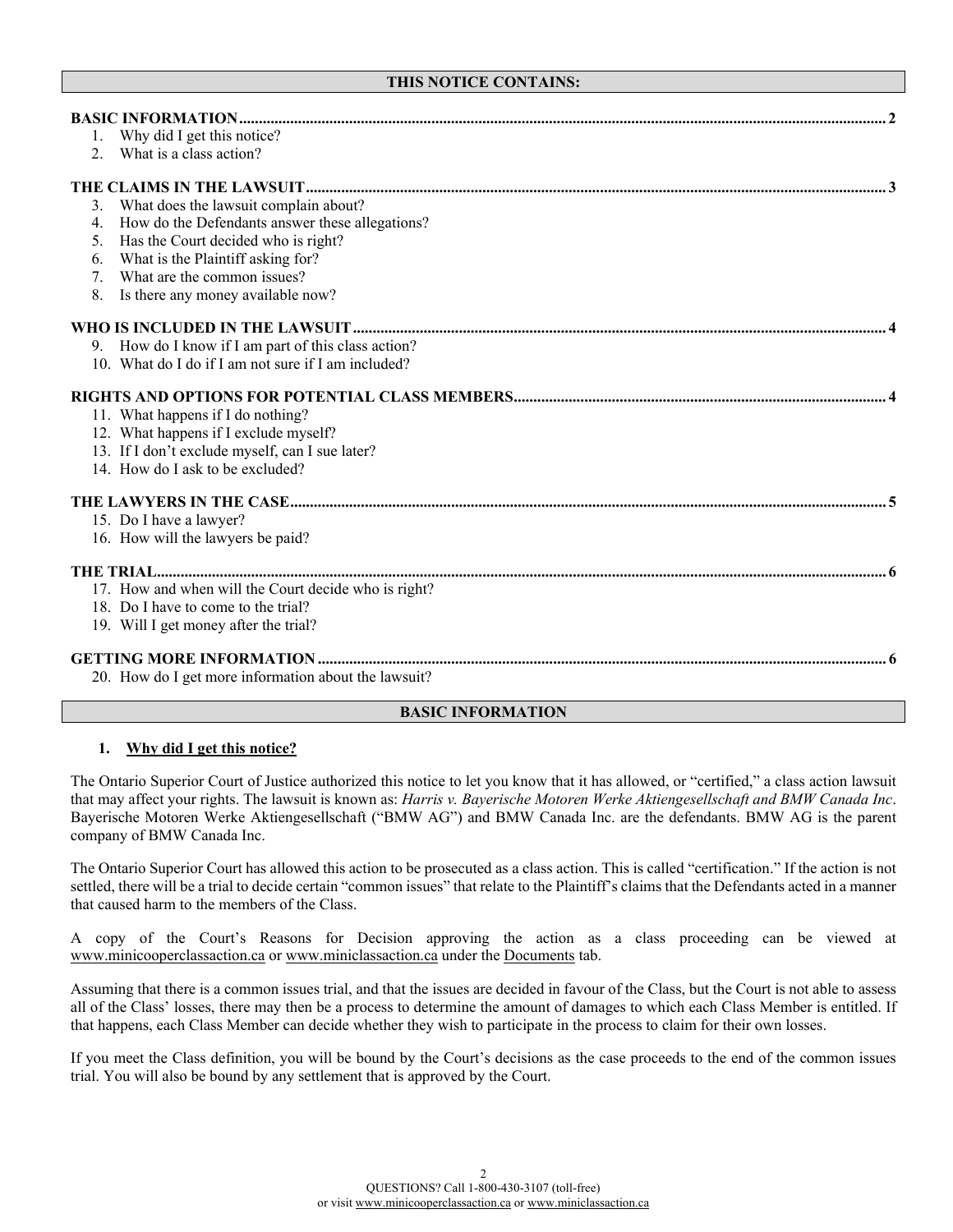# **THIS NOTICE CONTAINS:**

|    | Why did I get this notice?                           |  |
|----|------------------------------------------------------|--|
| 2. | What is a class action?                              |  |
|    |                                                      |  |
| 3. | What does the lawsuit complain about?                |  |
| 4. | How do the Defendants answer these allegations?      |  |
| 5. | Has the Court decided who is right?                  |  |
| 6. | What is the Plaintiff asking for?                    |  |
| 7. | What are the common issues?                          |  |
| 8. | Is there any money available now?                    |  |
|    |                                                      |  |
|    | 9. How do I know if I am part of this class action?  |  |
|    | 10. What do I do if I am not sure if I am included?  |  |
|    |                                                      |  |
|    | 11. What happens if I do nothing?                    |  |
|    | 12. What happens if I exclude myself?                |  |
|    | 13. If I don't exclude myself, can I sue later?      |  |
|    | 14. How do I ask to be excluded?                     |  |
|    |                                                      |  |
|    | 15. Do I have a lawyer?                              |  |
|    | 16. How will the lawyers be paid?                    |  |
|    |                                                      |  |
|    | 17. How and when will the Court decide who is right? |  |
|    | 18. Do I have to come to the trial?                  |  |
|    | 19. Will I get money after the trial?                |  |
|    |                                                      |  |
|    | 20. How do I get more information about the lawsuit? |  |

# **BASIC INFORMATION**

# **1. Why did I get this notice?**

The Ontario Superior Court of Justice authorized this notice to let you know that it has allowed, or "certified," a class action lawsuit that may affect your rights. The lawsuit is known as: *Harris v. Bayerische Motoren Werke Aktiengesellschaft and BMW Canada Inc*. Bayerische Motoren Werke Aktiengesellschaft ("BMW AG") and BMW Canada Inc. are the defendants. BMW AG is the parent company of BMW Canada Inc.

The Ontario Superior Court has allowed this action to be prosecuted as a class action. This is called "certification." If the action is not settled, there will be a trial to decide certain "common issues" that relate to the Plaintiff's claims that the Defendants acted in a manner that caused harm to the members of the Class.

A copy of the Court's Reasons for Decision approving the action as a class proceeding can be viewed at [www.minicooperclassaction.ca](http://www.minicooperclassaction.ca/) o[r www.miniclassaction.ca](http://www.miniclassaction.ca/) under the Documents tab.

Assuming that there is a common issues trial, and that the issues are decided in favour of the Class, but the Court is not able to assess all of the Class' losses, there may then be a process to determine the amount of damages to which each Class Member is entitled. If that happens, each Class Member can decide whether they wish to participate in the process to claim for their own losses.

If you meet the Class definition, you will be bound by the Court's decisions as the case proceeds to the end of the common issues trial. You will also be bound by any settlement that is approved by the Court.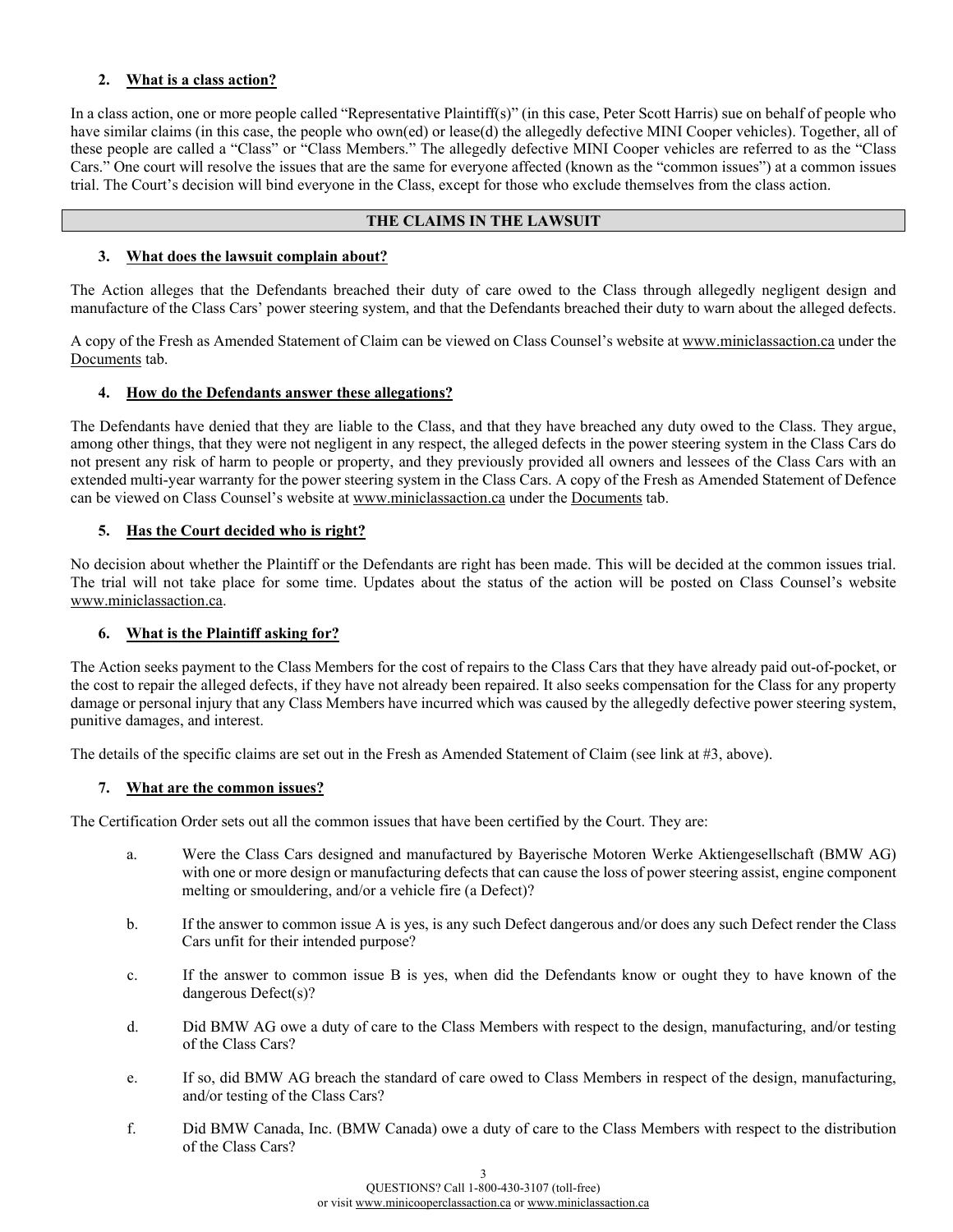# **2. What is a class action?**

In a class action, one or more people called "Representative Plaintiff(s)" (in this case, Peter Scott Harris) sue on behalf of people who have similar claims (in this case, the people who own(ed) or lease(d) the allegedly defective MINI Cooper vehicles). Together, all of these people are called a "Class" or "Class Members." The allegedly defective MINI Cooper vehicles are referred to as the "Class Cars." One court will resolve the issues that are the same for everyone affected (known as the "common issues") at a common issues trial. The Court's decision will bind everyone in the Class, except for those who exclude themselves from the class action.

# **THE CLAIMS IN THE LAWSUIT**

# **3. What does the lawsuit complain about?**

The Action alleges that the Defendants breached their duty of care owed to the Class through allegedly negligent design and manufacture of the Class Cars' power steering system, and that the Defendants breached their duty to warn about the alleged defects.

A copy of the Fresh as Amended Statement of Claim can be viewed on Class Counsel's website a[t www.miniclassaction.ca](http://www.miniclassaction.ca/) under the Documents tab.

# **4. How do the Defendants answer these allegations?**

The Defendants have denied that they are liable to the Class, and that they have breached any duty owed to the Class. They argue, among other things, that they were not negligent in any respect, the alleged defects in the power steering system in the Class Cars do not present any risk of harm to people or property, and they previously provided all owners and lessees of the Class Cars with an extended multi-year warranty for the power steering system in the Class Cars. A copy of the Fresh as Amended Statement of Defence can be viewed on Class Counsel's website at [www.miniclassaction.ca](http://www.miniclassaction.ca/) under the Documents tab.

# **5. Has the Court decided who is right?**

No decision about whether the Plaintiff or the Defendants are right has been made. This will be decided at the common issues trial. The trial will not take place for some time. Updates about the status of the action will be posted on Class Counsel's website [www.miniclassaction.ca.](http://www.miniclassaction.ca/)

# **6. What is the Plaintiff asking for?**

The Action seeks payment to the Class Members for the cost of repairs to the Class Cars that they have already paid out-of-pocket, or the cost to repair the alleged defects, if they have not already been repaired. It also seeks compensation for the Class for any property damage or personal injury that any Class Members have incurred which was caused by the allegedly defective power steering system, punitive damages, and interest.

The details of the specific claims are set out in the Fresh as Amended Statement of Claim (see link at #3, above).

# **7. What are the common issues?**

The Certification Order sets out all the common issues that have been certified by the Court. They are:

- a. Were the Class Cars designed and manufactured by Bayerische Motoren Werke Aktiengesellschaft (BMW AG) with one or more design or manufacturing defects that can cause the loss of power steering assist, engine component melting or smouldering, and/or a vehicle fire (a Defect)?
- b. If the answer to common issue A is yes, is any such Defect dangerous and/or does any such Defect render the Class Cars unfit for their intended purpose?
- c. If the answer to common issue B is yes, when did the Defendants know or ought they to have known of the dangerous Defect(s)?
- d. Did BMW AG owe a duty of care to the Class Members with respect to the design, manufacturing, and/or testing of the Class Cars?
- e. If so, did BMW AG breach the standard of care owed to Class Members in respect of the design, manufacturing, and/or testing of the Class Cars?
- f. Did BMW Canada, Inc. (BMW Canada) owe a duty of care to the Class Members with respect to the distribution of the Class Cars?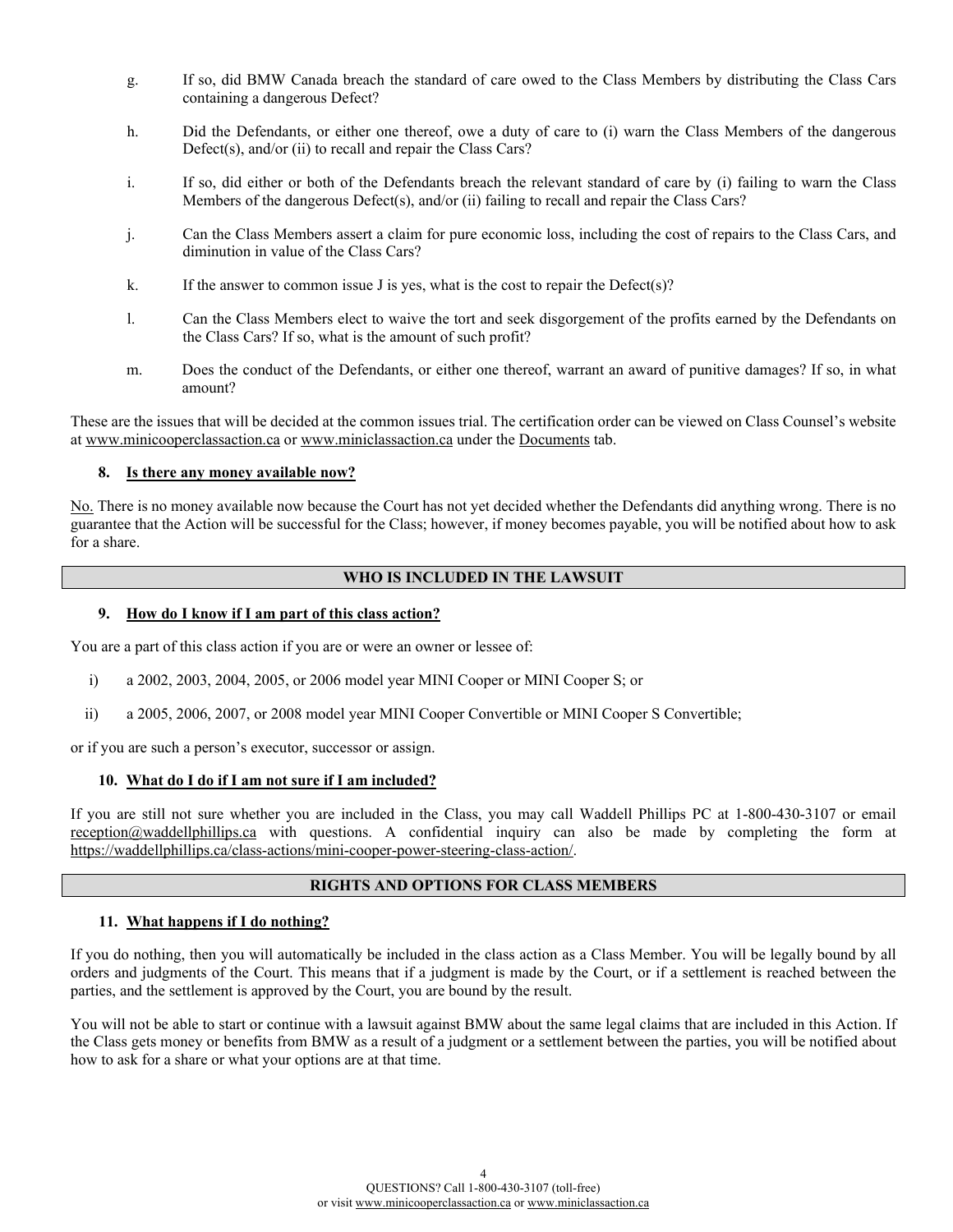- g. If so, did BMW Canada breach the standard of care owed to the Class Members by distributing the Class Cars containing a dangerous Defect?
- h. Did the Defendants, or either one thereof, owe a duty of care to (i) warn the Class Members of the dangerous Defect(s), and/or (ii) to recall and repair the Class Cars?
- i. If so, did either or both of the Defendants breach the relevant standard of care by (i) failing to warn the Class Members of the dangerous Defect(s), and/or (ii) failing to recall and repair the Class Cars?
- j. Can the Class Members assert a claim for pure economic loss, including the cost of repairs to the Class Cars, and diminution in value of the Class Cars?
- k. If the answer to common issue J is yes, what is the cost to repair the Defect(s)?
- l. Can the Class Members elect to waive the tort and seek disgorgement of the profits earned by the Defendants on the Class Cars? If so, what is the amount of such profit?
- m. Does the conduct of the Defendants, or either one thereof, warrant an award of punitive damages? If so, in what amount?

These are the issues that will be decided at the common issues trial. The certification order can be viewed on Class Counsel's website at [www.minicooperclassaction.ca](http://www.minicooperclassaction.ca/) or [www.miniclassaction.ca](http://www.miniclassaction.ca/) under the Documents tab.

## **8. Is there any money available now?**

No. There is no money available now because the Court has not yet decided whether the Defendants did anything wrong. There is no guarantee that the Action will be successful for the Class; however, if money becomes payable, you will be notified about how to ask for a share.

## **WHO IS INCLUDED IN THE LAWSUIT**

## **9. How do I know if I am part of this class action?**

You are a part of this class action if you are or were an owner or lessee of:

- i) a 2002, 2003, 2004, 2005, or 2006 model year MINI Cooper or MINI Cooper S; or
- ii) a 2005, 2006, 2007, or 2008 model year MINI Cooper Convertible or MINI Cooper S Convertible;

or if you are such a person's executor, successor or assign.

#### **10. What do I do if I am not sure if I am included?**

If you are still not sure whether you are included in the Class, you may call Waddell Phillips PC at 1-800-430-3107 or email [reception@waddellphillips.ca](mailto:reception@waddellphillips.ca) with questions. A confidential inquiry can also be made by completing the form at [https://waddellphillips.ca/class-actions/mini-cooper-power-steering-class-action/.](https://waddellphillips.ca/class-actions/mini-cooper-power-steering-class-action/)

## **RIGHTS AND OPTIONS FOR CLASS MEMBERS**

#### **11. What happens if I do nothing?**

If you do nothing, then you will automatically be included in the class action as a Class Member. You will be legally bound by all orders and judgments of the Court. This means that if a judgment is made by the Court, or if a settlement is reached between the parties, and the settlement is approved by the Court, you are bound by the result.

You will not be able to start or continue with a lawsuit against BMW about the same legal claims that are included in this Action. If the Class gets money or benefits from BMW as a result of a judgment or a settlement between the parties, you will be notified about how to ask for a share or what your options are at that time.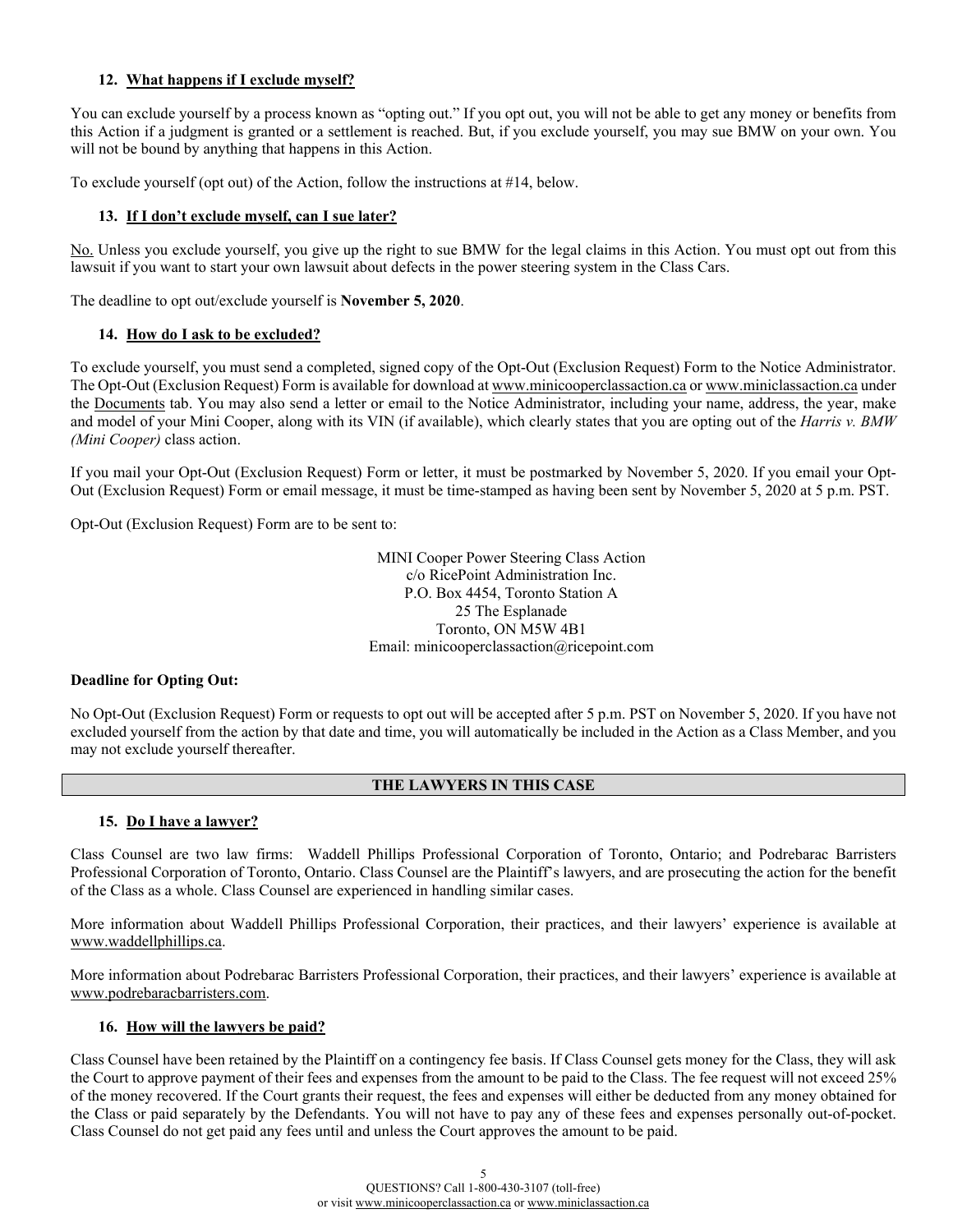# **12. What happens if I exclude myself?**

You can exclude yourself by a process known as "opting out." If you opt out, you will not be able to get any money or benefits from this Action if a judgment is granted or a settlement is reached. But, if you exclude yourself, you may sue BMW on your own. You will not be bound by anything that happens in this Action.

To exclude yourself (opt out) of the Action, follow the instructions at #14, below.

## **13. If I don't exclude myself, can I sue later?**

No. Unless you exclude yourself, you give up the right to sue BMW for the legal claims in this Action. You must opt out from this lawsuit if you want to start your own lawsuit about defects in the power steering system in the Class Cars.

The deadline to opt out/exclude yourself is **November 5, 2020**.

# **14. How do I ask to be excluded?**

To exclude yourself, you must send a completed, signed copy of the Opt-Out (Exclusion Request) Form to the Notice Administrator. The Opt-Out (Exclusion Request) Form is available for download a[t www.minicooperclassaction.ca](http://www.minicooperclassaction.ca/) o[r www.miniclassaction.ca](http://www.miniclassaction.ca/) under the Documents tab. You may also send a letter or email to the Notice Administrator, including your name, address, the year, make and model of your Mini Cooper, along with its VIN (if available), which clearly states that you are opting out of the *Harris v. BMW (Mini Cooper)* class action.

If you mail your Opt-Out (Exclusion Request) Form or letter, it must be postmarked by November 5, 2020. If you email your Opt-Out (Exclusion Request) Form or email message, it must be time-stamped as having been sent by November 5, 2020 at 5 p.m. PST.

Opt-Out (Exclusion Request) Form are to be sent to:

MINI Cooper Power Steering Class Action c/o RicePoint Administration Inc. P.O. Box 4454, Toronto Station A 25 The Esplanade Toronto, ON M5W 4B1 Email: minicooperclassaction@ricepoint.com

#### **Deadline for Opting Out:**

No Opt-Out (Exclusion Request) Form or requests to opt out will be accepted after 5 p.m. PST on November 5, 2020. If you have not excluded yourself from the action by that date and time, you will automatically be included in the Action as a Class Member, and you may not exclude yourself thereafter.

# **THE LAWYERS IN THIS CASE**

# **15. Do I have a lawyer?**

Class Counsel are two law firms: Waddell Phillips Professional Corporation of Toronto, Ontario; and Podrebarac Barristers Professional Corporation of Toronto, Ontario. Class Counsel are the Plaintiff's lawyers, and are prosecuting the action for the benefit of the Class as a whole. Class Counsel are experienced in handling similar cases.

More information about Waddell Phillips Professional Corporation, their practices, and their lawyers' experience is available at [www.waddellphillips.ca.](http://www.waddellphillips.ca/)

More information about Podrebarac Barristers Professional Corporation, their practices, and their lawyers' experience is available at [www.podrebaracbarristers.com.](http://www.podrebaracbarristers.com/)

#### **16. How will the lawyers be paid?**

Class Counsel have been retained by the Plaintiff on a contingency fee basis. If Class Counsel gets money for the Class, they will ask the Court to approve payment of their fees and expenses from the amount to be paid to the Class. The fee request will not exceed 25% of the money recovered. If the Court grants their request, the fees and expenses will either be deducted from any money obtained for the Class or paid separately by the Defendants. You will not have to pay any of these fees and expenses personally out-of-pocket. Class Counsel do not get paid any fees until and unless the Court approves the amount to be paid.